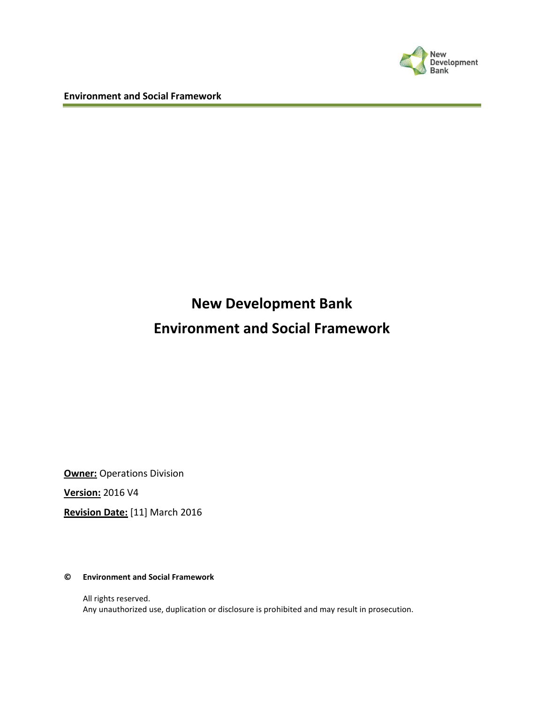

# **New Development Bank Environment and Social Framework**

**Owner:** Operations Division **Version:** 2016 V4 **Revision Date:** [11] March 2016

#### **© Environment and Social Framework**

All rights reserved. Any unauthorized use, duplication or disclosure is prohibited and may result in prosecution.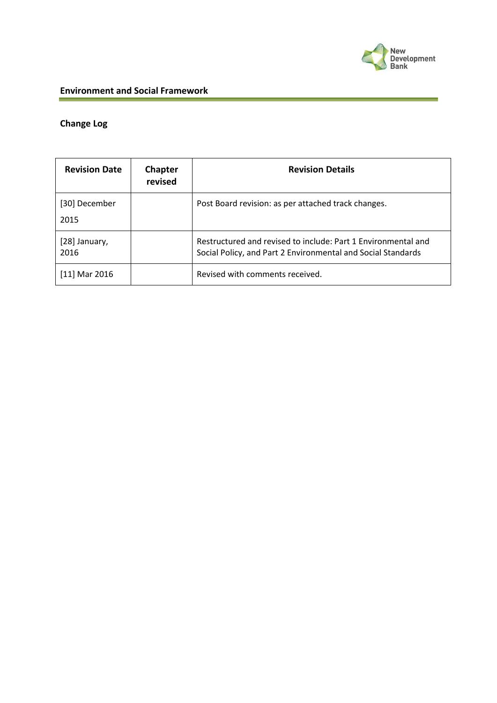

# **Change Log**

| <b>Revision Date</b>  | <b>Chapter</b><br>revised | <b>Revision Details</b>                                                                                                       |
|-----------------------|---------------------------|-------------------------------------------------------------------------------------------------------------------------------|
| [30] December<br>2015 |                           | Post Board revision: as per attached track changes.                                                                           |
| [28] January,<br>2016 |                           | Restructured and revised to include: Part 1 Environmental and<br>Social Policy, and Part 2 Environmental and Social Standards |
| [11] Mar 2016         |                           | Revised with comments received.                                                                                               |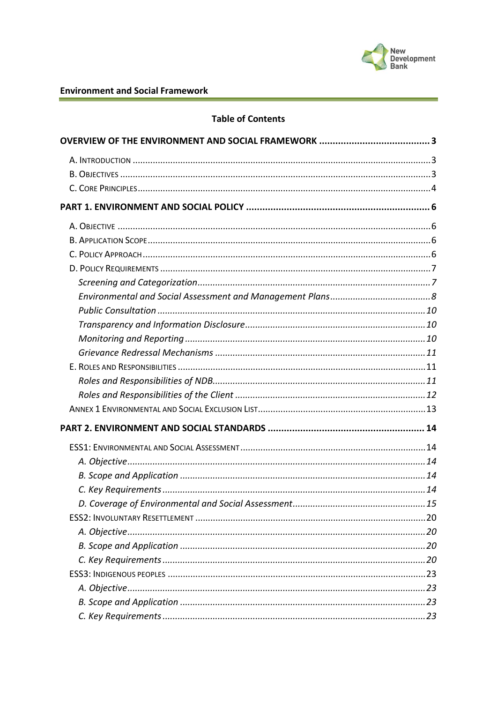

÷

# **Environment and Social Framework**

#### **Table of Contents**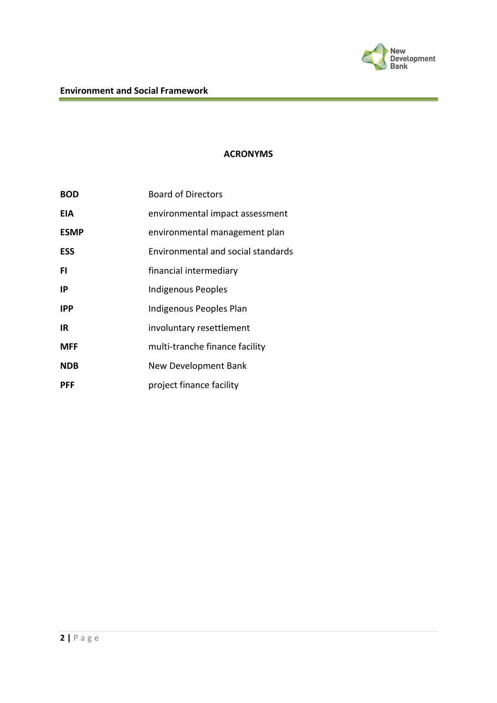

<u> 1989 - Johann Barnett, mars eta idazlea (h. 19</u>

÷

# **ACRONYMS**

| <b>BOD</b>  | <b>Board of Directors</b>          |
|-------------|------------------------------------|
| EIA         | environmental impact assessment    |
| <b>ESMP</b> | environmental management plan      |
| <b>ESS</b>  | Environmental and social standards |
| FI          | financial intermediary             |
| IP          | Indigenous Peoples                 |
| <b>IPP</b>  | Indigenous Peoples Plan            |
| IR.         | involuntary resettlement           |
| <b>MFF</b>  | multi-tranche finance facility     |
| <b>NDB</b>  | New Development Bank               |
| <b>PFF</b>  | project finance facility           |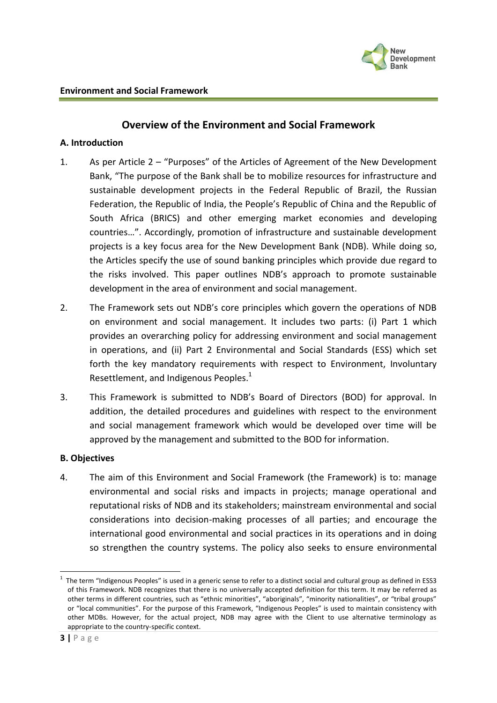

# **Overview of the Environment and Social Framework**

# <span id="page-4-1"></span><span id="page-4-0"></span>**A. Introduction**

- 1. As per Article 2 "Purposes" of the Articles of Agreement of the New Development Bank, "The purpose of the Bank shall be to mobilize resources for infrastructure and sustainable development projects in the Federal Republic of Brazil, the Russian Federation, the Republic of India, the People's Republic of China and the Republic of South Africa (BRICS) and other emerging market economies and developing countries…". Accordingly, promotion of infrastructure and sustainable development projects is a key focus area for the New Development Bank (NDB). While doing so, the Articles specify the use of sound banking principles which provide due regard to the risks involved. This paper outlines NDB's approach to promote sustainable development in the area of environment and social management.
- 2. The Framework sets out NDB's core principles which govern the operations of NDB on environment and social management. It includes two parts: (i) Part 1 which provides an overarching policy for addressing environment and social management in operations, and (ii) Part 2 Environmental and Social Standards (ESS) which set forth the key mandatory requirements with respect to Environment, Involuntary Resettlement, and Indigenous Peoples.<sup>1</sup>
- 3. This Framework is submitted to NDB's Board of Directors (BOD) for approval. In addition, the detailed procedures and guidelines with respect to the environment and social management framework which would be developed over time will be approved by the management and submitted to the BOD for information.

# <span id="page-4-2"></span>**B. Objectives**

4. The aim of this Environment and Social Framework (the Framework) is to: manage environmental and social risks and impacts in projects; manage operational and reputational risks of NDB and its stakeholders; mainstream environmental and social considerations into decision-making processes of all parties; and encourage the international good environmental and social practices in its operations and in doing so strengthen the country systems. The policy also seeks to ensure environmental

<sup>1</sup> The term "Indigenous Peoples" is used in a generic sense to refer to a distinct social and cultural group as defined in ESS3 of this Framework. NDB recognizes that there is no universally accepted definition for this term. It may be referred as other terms in different countries, such as "ethnic minorities", "aboriginals", "minority nationalities", or "tribal groups" or "local communities". For the purpose of this Framework, "Indigenous Peoples" is used to maintain consistency with other MDBs. However, for the actual project, NDB may agree with the Client to use alternative terminology as appropriate to the country-specific context.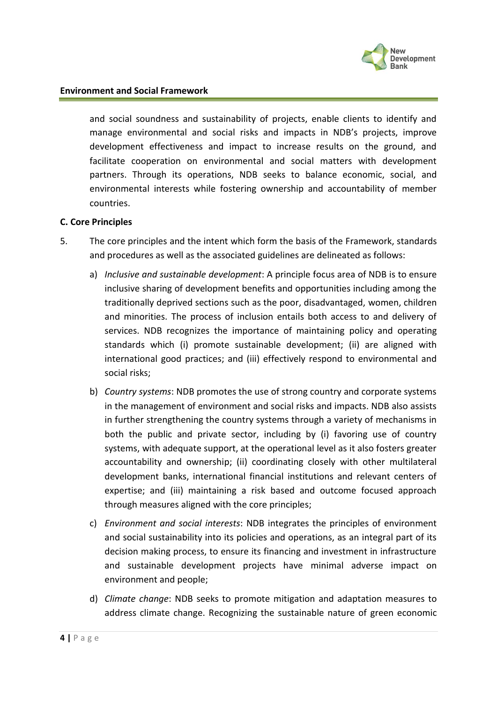

and social soundness and sustainability of projects, enable clients to identify and manage environmental and social risks and impacts in NDB's projects, improve development effectiveness and impact to increase results on the ground, and facilitate cooperation on environmental and social matters with development partners. Through its operations, NDB seeks to balance economic, social, and environmental interests while fostering ownership and accountability of member countries.

#### <span id="page-5-0"></span>**C. Core Principles**

- 5. The core principles and the intent which form the basis of the Framework, standards and procedures as well as the associated guidelines are delineated as follows:
	- a) *Inclusive and sustainable development*: A principle focus area of NDB is to ensure inclusive sharing of development benefits and opportunities including among the traditionally deprived sections such as the poor, disadvantaged, women, children and minorities. The process of inclusion entails both access to and delivery of services. NDB recognizes the importance of maintaining policy and operating standards which (i) promote sustainable development; (ii) are aligned with international good practices; and (iii) effectively respond to environmental and social risks;
	- b) *Country systems*: NDB promotes the use of strong country and corporate systems in the management of environment and social risks and impacts. NDB also assists in further strengthening the country systems through a variety of mechanisms in both the public and private sector, including by (i) favoring use of country systems, with adequate support, at the operational level as it also fosters greater accountability and ownership; (ii) coordinating closely with other multilateral development banks, international financial institutions and relevant centers of expertise; and (iii) maintaining a risk based and outcome focused approach through measures aligned with the core principles;
	- c) *Environment and social interests*: NDB integrates the principles of environment and social sustainability into its policies and operations, as an integral part of its decision making process, to ensure its financing and investment in infrastructure and sustainable development projects have minimal adverse impact on environment and people;
	- d) *Climate change*: NDB seeks to promote mitigation and adaptation measures to address climate change. Recognizing the sustainable nature of green economic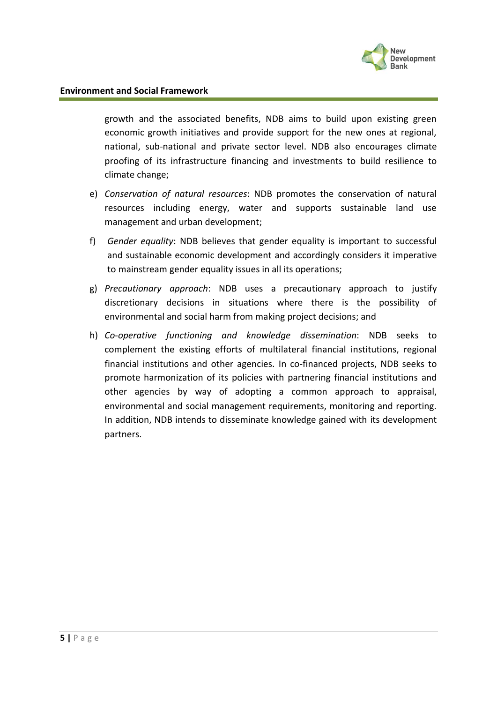

growth and the associated benefits, NDB aims to build upon existing green economic growth initiatives and provide support for the new ones at regional, national, sub-national and private sector level. NDB also encourages climate proofing of its infrastructure financing and investments to build resilience to climate change;

- e) *Conservation of natural resources*: NDB promotes the conservation of natural resources including energy, water and supports sustainable land use management and urban development;
- f) *Gender equality*: NDB believes that gender equality is important to successful and sustainable economic development and accordingly considers it imperative to mainstream gender equality issues in all its operations;
- g) *Precautionary approach*: NDB uses a precautionary approach to justify discretionary decisions in situations where there is the possibility of environmental and social harm from making project decisions; and
- h) *Co-operative functioning and knowledge dissemination*: NDB seeks to complement the existing efforts of multilateral financial institutions, regional financial institutions and other agencies. In co-financed projects, NDB seeks to promote harmonization of its policies with partnering financial institutions and other agencies by way of adopting a common approach to appraisal, environmental and social management requirements, monitoring and reporting. In addition, NDB intends to disseminate knowledge gained with its development partners.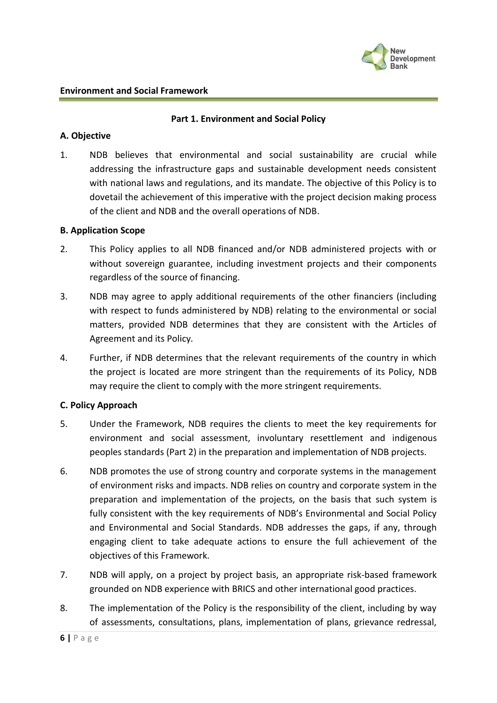

#### **Part 1. Environment and Social Policy**

#### <span id="page-7-1"></span><span id="page-7-0"></span>**A. Objective**

1. NDB believes that environmental and social sustainability are crucial while addressing the infrastructure gaps and sustainable development needs consistent with national laws and regulations, and its mandate. The objective of this Policy is to dovetail the achievement of this imperative with the project decision making process of the client and NDB and the overall operations of NDB.

#### <span id="page-7-2"></span>**B. Application Scope**

- 2. This Policy applies to all NDB financed and/or NDB administered projects with or without sovereign guarantee, including investment projects and their components regardless of the source of financing.
- 3. NDB may agree to apply additional requirements of the other financiers (including with respect to funds administered by NDB) relating to the environmental or social matters, provided NDB determines that they are consistent with the Articles of Agreement and its Policy.
- 4. Further, if NDB determines that the relevant requirements of the country in which the project is located are more stringent than the requirements of its Policy, NDB may require the client to comply with the more stringent requirements.

# <span id="page-7-3"></span>**C. Policy Approach**

- 5. Under the Framework, NDB requires the clients to meet the key requirements for environment and social assessment, involuntary resettlement and indigenous peoples standards (Part 2) in the preparation and implementation of NDB projects.
- 6. NDB promotes the use of strong country and corporate systems in the management of environment risks and impacts. NDB relies on country and corporate system in the preparation and implementation of the projects, on the basis that such system is fully consistent with the key requirements of NDB's Environmental and Social Policy and Environmental and Social Standards. NDB addresses the gaps, if any, through engaging client to take adequate actions to ensure the full achievement of the objectives of this Framework.
- 7. NDB will apply, on a project by project basis, an appropriate risk-based framework grounded on NDB experience with BRICS and other international good practices.
- 8. The implementation of the Policy is the responsibility of the client, including by way of assessments, consultations, plans, implementation of plans, grievance redressal,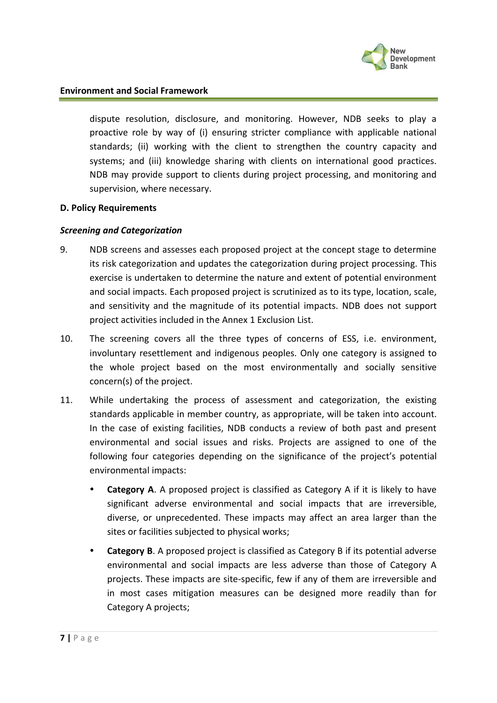

dispute resolution, disclosure, and monitoring. However, NDB seeks to play a proactive role by way of (i) ensuring stricter compliance with applicable national standards; (ii) working with the client to strengthen the country capacity and systems; and (iii) knowledge sharing with clients on international good practices. NDB may provide support to clients during project processing, and monitoring and supervision, where necessary.

# <span id="page-8-0"></span>**D. Policy Requirements**

# <span id="page-8-1"></span>*Screening and Categorization*

- 9. NDB screens and assesses each proposed project at the concept stage to determine its risk categorization and updates the categorization during project processing. This exercise is undertaken to determine the nature and extent of potential environment and social impacts. Each proposed project is scrutinized as to its type, location, scale, and sensitivity and the magnitude of its potential impacts. NDB does not support project activities included in the Annex 1 Exclusion List.
- 10. The screening covers all the three types of concerns of ESS, i.e. environment, involuntary resettlement and indigenous peoples. Only one category is assigned to the whole project based on the most environmentally and socially sensitive concern(s) of the project.
- 11. While undertaking the process of assessment and categorization, the existing standards applicable in member country, as appropriate, will be taken into account. In the case of existing facilities, NDB conducts a review of both past and present environmental and social issues and risks. Projects are assigned to one of the following four categories depending on the significance of the project's potential environmental impacts:
	- **Category A**. A proposed project is classified as Category A if it is likely to have significant adverse environmental and social impacts that are irreversible, diverse, or unprecedented. These impacts may affect an area larger than the sites or facilities subjected to physical works;
	- **Category B**. A proposed project is classified as Category B if its potential adverse environmental and social impacts are less adverse than those of Category A projects. These impacts are site-specific, few if any of them are irreversible and in most cases mitigation measures can be designed more readily than for Category A projects;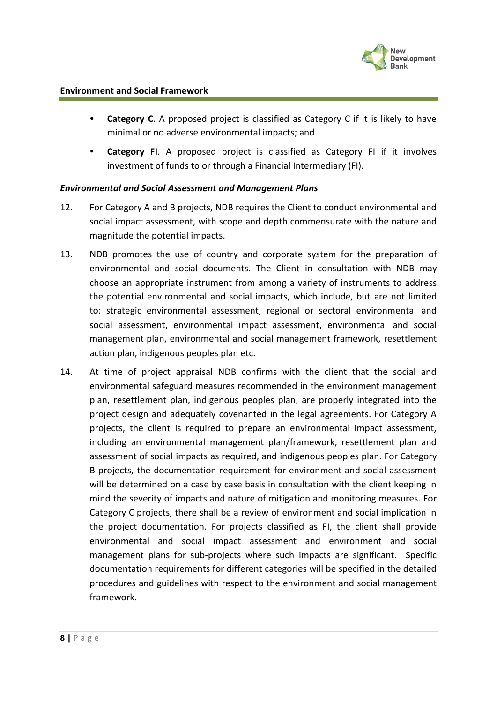

- **Category C**. A proposed project is classified as Category C if it is likely to have minimal or no adverse environmental impacts; and
- **Category FI**. A proposed project is classified as Category FI if it involves investment of funds to or through a Financial Intermediary (FI).

# <span id="page-9-0"></span>*Environmental and Social Assessment and Management Plans*

- 12. For Category A and B projects, NDB requires the Client to conduct environmental and social impact assessment, with scope and depth commensurate with the nature and magnitude the potential impacts.
- 13. NDB promotes the use of country and corporate system for the preparation of environmental and social documents. The Client in consultation with NDB may choose an appropriate instrument from among a variety of instruments to address the potential environmental and social impacts, which include, but are not limited to: strategic environmental assessment, regional or sectoral environmental and social assessment, environmental impact assessment, environmental and social management plan, environmental and social management framework, resettlement action plan, indigenous peoples plan etc.
- 14. At time of project appraisal NDB confirms with the client that the social and environmental safeguard measures recommended in the environment management plan, resettlement plan, indigenous peoples plan, are properly integrated into the project design and adequately covenanted in the legal agreements. For Category A projects, the client is required to prepare an environmental impact assessment, including an environmental management plan/framework, resettlement plan and assessment of social impacts as required, and indigenous peoples plan. For Category B projects, the documentation requirement for environment and social assessment will be determined on a case by case basis in consultation with the client keeping in mind the severity of impacts and nature of mitigation and monitoring measures. For Category C projects, there shall be a review of environment and social implication in the project documentation. For projects classified as FI, the client shall provide environmental and social impact assessment and environment and social management plans for sub-projects where such impacts are significant. Specific documentation requirements for different categories will be specified in the detailed procedures and guidelines with respect to the environment and social management framework.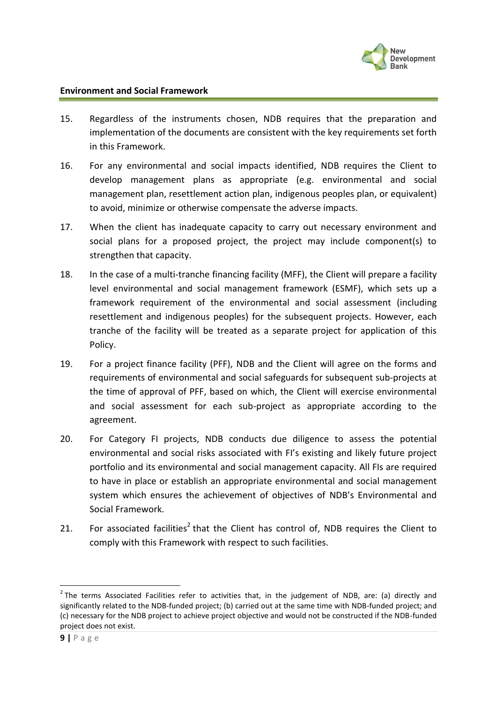

- 15. Regardless of the instruments chosen, NDB requires that the preparation and implementation of the documents are consistent with the key requirements set forth in this Framework.
- 16. For any environmental and social impacts identified, NDB requires the Client to develop management plans as appropriate (e.g. environmental and social management plan, resettlement action plan, indigenous peoples plan, or equivalent) to avoid, minimize or otherwise compensate the adverse impacts.
- 17. When the client has inadequate capacity to carry out necessary environment and social plans for a proposed project, the project may include component(s) to strengthen that capacity.
- 18. In the case of a multi-tranche financing facility (MFF), the Client will prepare a facility level environmental and social management framework (ESMF), which sets up a framework requirement of the environmental and social assessment (including resettlement and indigenous peoples) for the subsequent projects. However, each tranche of the facility will be treated as a separate project for application of this Policy.
- 19. For a project finance facility (PFF), NDB and the Client will agree on the forms and requirements of environmental and social safeguards for subsequent sub-projects at the time of approval of PFF, based on which, the Client will exercise environmental and social assessment for each sub-project as appropriate according to the agreement.
- 20. For Category FI projects, NDB conducts due diligence to assess the potential environmental and social risks associated with FI's existing and likely future project portfolio and its environmental and social management capacity. All FIs are required to have in place or establish an appropriate environmental and social management system which ensures the achievement of objectives of NDB's Environmental and Social Framework.
- 21. For associated facilities<sup>2</sup> that the Client has control of, NDB requires the Client to comply with this Framework with respect to such facilities.

 $2$  The terms Associated Facilities refer to activities that, in the judgement of NDB, are: (a) directly and significantly related to the NDB-funded project; (b) carried out at the same time with NDB-funded project; and (c) necessary for the NDB project to achieve project objective and would not be constructed if the NDB-funded project does not exist.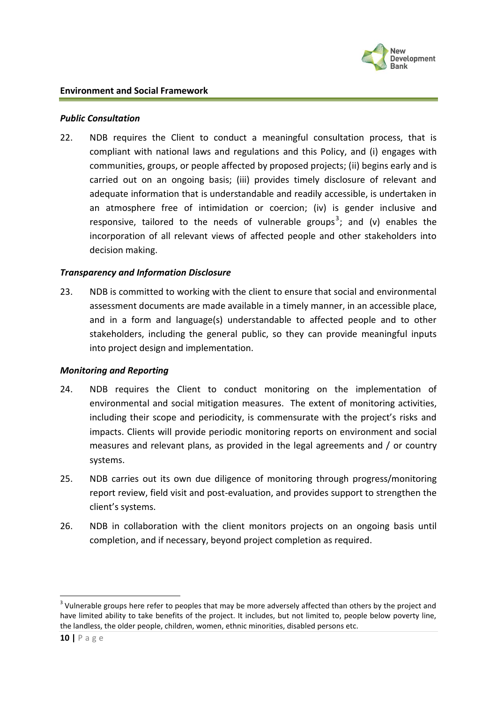<span id="page-11-3"></span>

#### <span id="page-11-0"></span>*Public Consultation*

22. NDB requires the Client to conduct a meaningful consultation process, that is compliant with national laws and regulations and this Policy, and (i) engages with communities, groups, or people affected by proposed projects; (ii) begins early and is carried out on an ongoing basis; (iii) provides timely disclosure of relevant and adequate information that is understandable and readily accessible, is undertaken in an atmosphere free of intimidation or coercion; (iv) is gender inclusive and responsive, tailored to the needs of vulnerable groups<sup>3</sup>; and (v) enables the incorporation of all relevant views of affected people and other stakeholders into decision making.

# <span id="page-11-1"></span>*Transparency and Information Disclosure*

23. NDB is committed to working with the client to ensure that social and environmental assessment documents are made available in a timely manner, in an accessible place, and in a form and language(s) understandable to affected people and to other stakeholders, including the general public, so they can provide meaningful inputs into project design and implementation.

# <span id="page-11-2"></span>*Monitoring and Reporting*

- 24. NDB requires the Client to conduct monitoring on the implementation of environmental and social mitigation measures. The extent of monitoring activities, including their scope and periodicity, is commensurate with the project's risks and impacts. Clients will provide periodic monitoring reports on environment and social measures and relevant plans, as provided in the legal agreements and / or country systems.
- 25. NDB carries out its own due diligence of monitoring through progress/monitoring report review, field visit and post-evaluation, and provides support to strengthen the client's systems.
- 26. NDB in collaboration with the client monitors projects on an ongoing basis until completion, and if necessary, beyond project completion as required.

<sup>&</sup>lt;sup>3</sup> Vulnerable groups here refer to peoples that may be more adversely affected than others by the project and have limited ability to take benefits of the project. It includes, but not limited to, people below poverty line, the landless, the older people, children, women, ethnic minorities, disabled persons etc.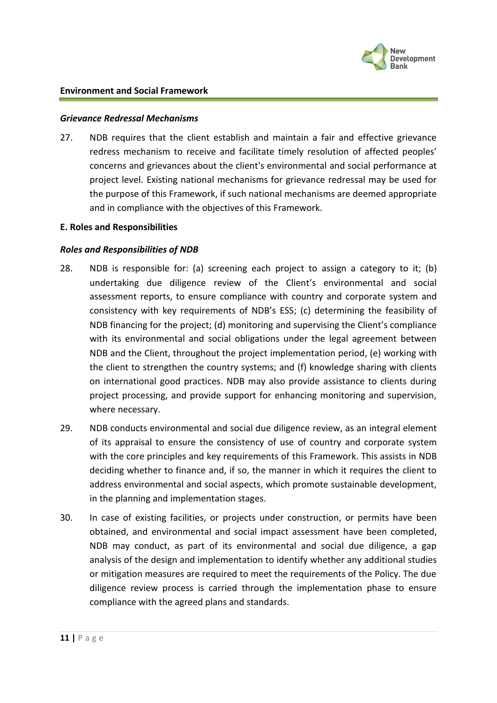

#### <span id="page-12-0"></span>*Grievance Redressal Mechanisms*

27. NDB requires that the client establish and maintain a fair and effective grievance redress mechanism to receive and facilitate timely resolution of affected peoples' concerns and grievances about the client's environmental and social performance at project level. Existing national mechanisms for grievance redressal may be used for the purpose of this Framework, if such national mechanisms are deemed appropriate and in compliance with the objectives of this Framework.

#### <span id="page-12-1"></span>**E. Roles and Responsibilities**

#### <span id="page-12-2"></span>*Roles and Responsibilities of NDB*

- 28. NDB is responsible for: (a) screening each project to assign a category to it; (b) undertaking due diligence review of the Client's environmental and social assessment reports, to ensure compliance with country and corporate system and consistency with key requirements of NDB's ESS; (c) determining the feasibility of NDB financing for the project; (d) monitoring and supervising the Client's compliance with its environmental and social obligations under the legal agreement between NDB and the Client, throughout the project implementation period, (e) working with the client to strengthen the country systems; and (f) knowledge sharing with clients on international good practices. NDB may also provide assistance to clients during project processing, and provide support for enhancing monitoring and supervision, where necessary.
- 29. NDB conducts environmental and social due diligence review, as an integral element of its appraisal to ensure the consistency of use of country and corporate system with the core principles and key requirements of this Framework. This assists in NDB deciding whether to finance and, if so, the manner in which it requires the client to address environmental and social aspects, which promote sustainable development, in the planning and implementation stages.
- 30. In case of existing facilities, or projects under construction, or permits have been obtained, and environmental and social impact assessment have been completed, NDB may conduct, as part of its environmental and social due diligence, a gap analysis of the design and implementation to identify whether any additional studies or mitigation measures are required to meet the requirements of the Policy. The due diligence review process is carried through the implementation phase to ensure compliance with the agreed plans and standards.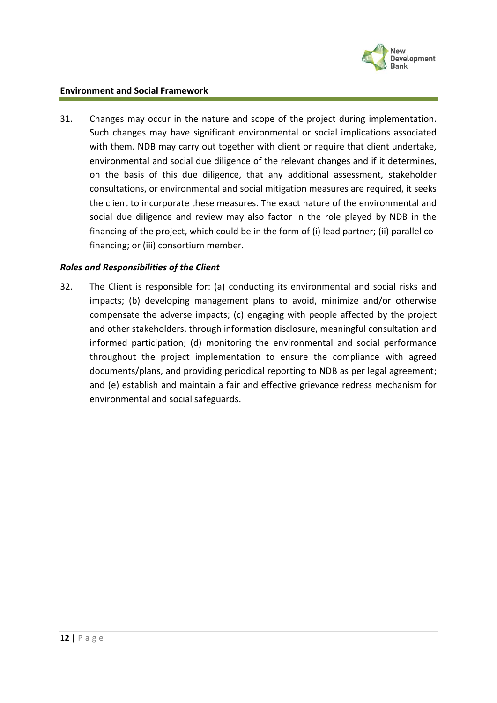

31. Changes may occur in the nature and scope of the project during implementation. Such changes may have significant environmental or social implications associated with them. NDB may carry out together with client or require that client undertake, environmental and social due diligence of the relevant changes and if it determines, on the basis of this due diligence, that any additional assessment, stakeholder consultations, or environmental and social mitigation measures are required, it seeks the client to incorporate these measures. The exact nature of the environmental and social due diligence and review may also factor in the role played by NDB in the financing of the project, which could be in the form of (i) lead partner; (ii) parallel cofinancing; or (iii) consortium member.

# <span id="page-13-0"></span>*Roles and Responsibilities of the Client*

<span id="page-13-1"></span>32. The Client is responsible for: (a) conducting its environmental and social risks and impacts; (b) developing management plans to avoid, minimize and/or otherwise compensate the adverse impacts; (c) engaging with people affected by the project and other stakeholders, through information disclosure, meaningful consultation and informed participation; (d) monitoring the environmental and social performance throughout the project implementation to ensure the compliance with agreed documents/plans, and providing periodical reporting to NDB as per legal agreement; and (e) establish and maintain a fair and effective grievance redress mechanism for environmental and social safeguards.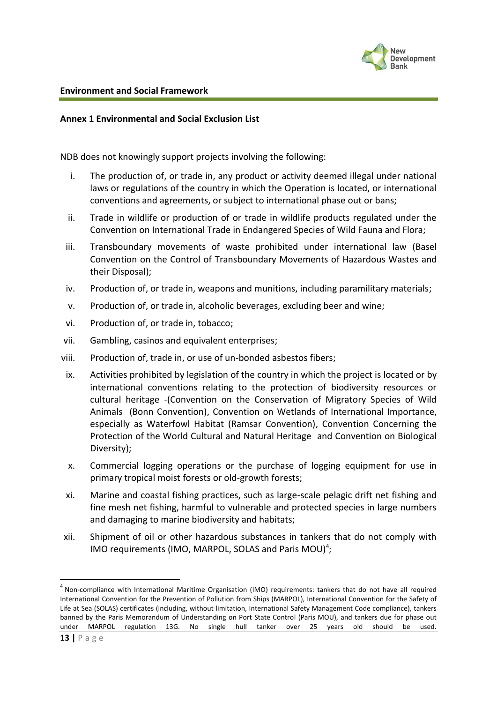

#### **Annex 1 Environmental and Social Exclusion List**

NDB does not knowingly support projects involving the following:

- i. The production of, or trade in, any product or activity deemed illegal under national laws or regulations of the country in which the Operation is located, or international conventions and agreements, or subject to international phase out or bans;
- ii. Trade in wildlife or production of or trade in wildlife products regulated under the Convention on International Trade in Endangered Species of Wild Fauna and Flora;
- iii. Transboundary movements of waste prohibited under international law (Basel Convention on the Control of Transboundary Movements of Hazardous Wastes and their Disposal);
- iv. Production of, or trade in, weapons and munitions, including paramilitary materials;
- v. Production of, or trade in, alcoholic beverages, excluding beer and wine;
- vi. Production of, or trade in, tobacco;
- vii. Gambling, casinos and equivalent enterprises;
- viii. Production of, trade in, or use of un-bonded asbestos fibers;
- ix. Activities prohibited by legislation of the country in which the project is located or by international conventions relating to the protection of biodiversity resources or cultural heritage -(Convention on the Conservation of Migratory Species of Wild Animals (Bonn Convention), Convention on Wetlands of International Importance, especially as Waterfowl Habitat (Ramsar Convention), Convention Concerning the Protection of the World Cultural and Natural Heritage and Convention on Biological Diversity);
- x. Commercial logging operations or the purchase of logging equipment for use in primary tropical moist forests or old-growth forests;
- xi. Marine and coastal fishing practices, such as large-scale pelagic drift net fishing and fine mesh net fishing, harmful to vulnerable and protected species in large numbers and damaging to marine biodiversity and habitats;
- xii. Shipment of oil or other hazardous substances in tankers that do not comply with IMO requirements (IMO, MARPOL, SOLAS and Paris MOU)<sup>4</sup>;

<sup>&</sup>lt;sup>4</sup> Non-compliance with International Maritime Organisation (IMO) requirements: tankers that do not have all required International Convention for the Prevention of Pollution from Ships (MARPOL), International Convention for the Safety of Life at Sea (SOLAS) certificates (including, without limitation, International Safety Management Code compliance), tankers banned by the Paris Memorandum of Understanding on Port State Control (Paris MOU), and tankers due for phase out under MARPOL regulation 13G. No single hull tanker over 25 years old should be used.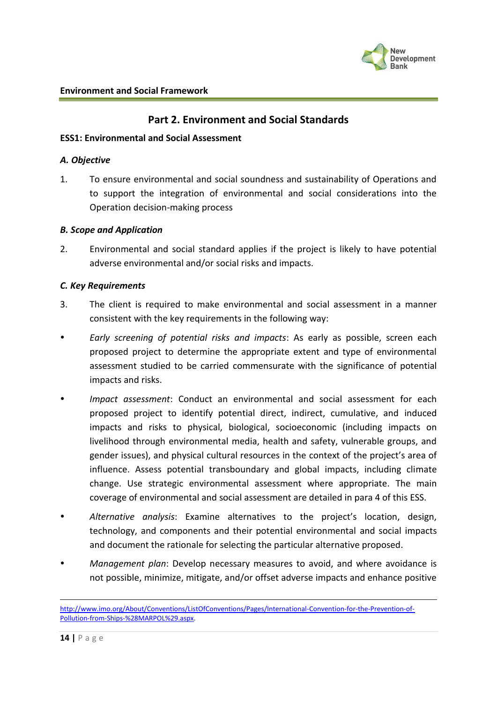

# **Part 2. Environment and Social Standards**

#### <span id="page-15-1"></span><span id="page-15-0"></span>**ESS1: Environmental and Social Assessment**

#### <span id="page-15-2"></span>*A. Objective*

1. To ensure environmental and social soundness and sustainability of Operations and to support the integration of environmental and social considerations into the Operation decision-making process

# <span id="page-15-3"></span>*B. Scope and Application*

2. Environmental and social standard applies if the project is likely to have potential adverse environmental and/or social risks and impacts.

# <span id="page-15-4"></span>*C. Key Requirements*

- 3. The client is required to make environmental and social assessment in a manner consistent with the key requirements in the following way:
- *Early screening of potential risks and impacts*: As early as possible, screen each proposed project to determine the appropriate extent and type of environmental assessment studied to be carried commensurate with the significance of potential impacts and risks.
- *Impact assessment*: Conduct an environmental and social assessment for each proposed project to identify potential direct, indirect, cumulative, and induced impacts and risks to physical, biological, socioeconomic (including impacts on livelihood through environmental media, health and safety, vulnerable groups, and gender issues), and physical cultural resources in the context of the project's area of influence. Assess potential transboundary and global impacts, including climate change. Use strategic environmental assessment where appropriate. The main coverage of environmental and social assessment are detailed in para 4 of this ESS.
- *Alternative analysis*: Examine alternatives to the project's location, design, technology, and components and their potential environmental and social impacts and document the rationale for selecting the particular alternative proposed.
- *Management plan*: Develop necessary measures to avoid, and where avoidance is not possible, minimize, mitigate, and/or offset adverse impacts and enhance positive

[http://www.imo.org/About/Conventions/ListOfConventions/Pages/International-Convention-for-the-Prevention-of-](http://www.imo.org/About/Conventions/ListOfConventions/Pages/International-Convention-for-the-Prevention-of-Pollution-from-Ships-%28MARPOL%29.aspx)[Pollution-from-Ships-%28MARPOL%29.aspx.](http://www.imo.org/About/Conventions/ListOfConventions/Pages/International-Convention-for-the-Prevention-of-Pollution-from-Ships-%28MARPOL%29.aspx)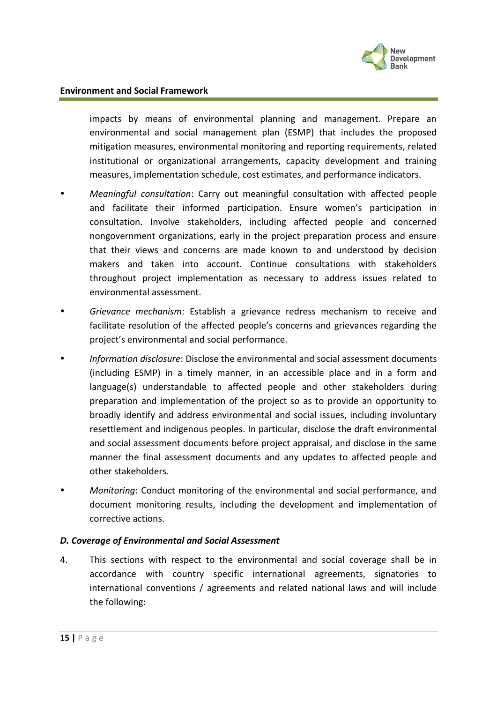

impacts by means of environmental planning and management. Prepare an environmental and social management plan (ESMP) that includes the proposed mitigation measures, environmental monitoring and reporting requirements, related institutional or organizational arrangements, capacity development and training measures, implementation schedule, cost estimates, and performance indicators.

- *Meaningful consultation*: Carry out meaningful consultation with affected people and facilitate their informed participation. Ensure women's participation in consultation. Involve stakeholders, including affected people and concerned nongovernment organizations, early in the project preparation process and ensure that their views and concerns are made known to and understood by decision makers and taken into account. Continue consultations with stakeholders throughout project implementation as necessary to address issues related to environmental assessment.
- *Grievance mechanism*: Establish a grievance redress mechanism to receive and facilitate resolution of the affected people's concerns and grievances regarding the project's environmental and social performance.
- *Information disclosure*: Disclose the environmental and social assessment documents (including ESMP) in a timely manner, in an accessible place and in a form and language(s) understandable to affected people and other stakeholders during preparation and implementation of the project so as to provide an opportunity to broadly identify and address environmental and social issues, including involuntary resettlement and indigenous peoples. In particular, disclose the draft environmental and social assessment documents before project appraisal, and disclose in the same manner the final assessment documents and any updates to affected people and other stakeholders.
- *Monitoring*: Conduct monitoring of the environmental and social performance, and document monitoring results, including the development and implementation of corrective actions.

# <span id="page-16-0"></span>*D. Coverage of Environmental and Social Assessment*

4. This sections with respect to the environmental and social coverage shall be in accordance with country specific international agreements, signatories to international conventions / agreements and related national laws and will include the following: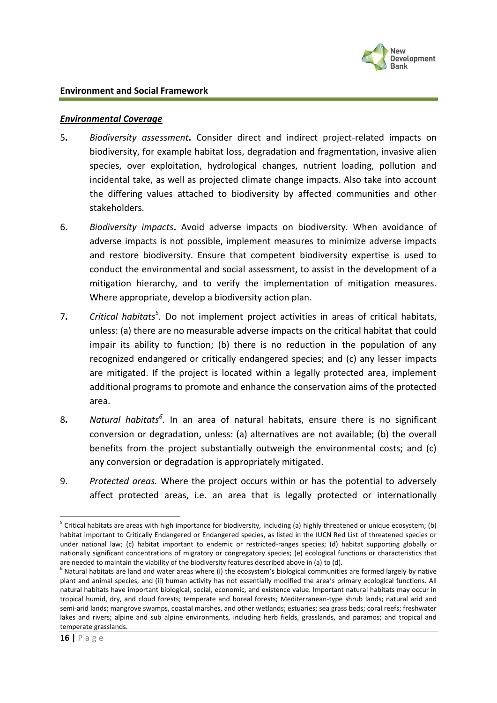

#### *Environmental Coverage*

- 5**.** *Biodiversity assessment***.** Consider direct and indirect project-related impacts on biodiversity, for example habitat loss, degradation and fragmentation, invasive alien species, over exploitation, hydrological changes, nutrient loading, pollution and incidental take, as well as projected climate change impacts. Also take into account the differing values attached to biodiversity by affected communities and other stakeholders.
- 6**.** *Biodiversity impacts***.** Avoid adverse impacts on biodiversity. When avoidance of adverse impacts is not possible, implement measures to minimize adverse impacts and restore biodiversity. Ensure that competent biodiversity expertise is used to conduct the environmental and social assessment, to assist in the development of a mitigation hierarchy, and to verify the implementation of mitigation measures. Where appropriate, develop a biodiversity action plan.
- 7. Critical habitats<sup>5</sup>. Do not implement project activities in areas of critical habitats, unless: (a) there are no measurable adverse impacts on the critical habitat that could impair its ability to function; (b) there is no reduction in the population of any recognized endangered or critically endangered species; and (c) any lesser impacts are mitigated. If the project is located within a legally protected area, implement additional programs to promote and enhance the conservation aims of the protected area.
- 8**.** *Natural habitats<sup>6</sup> .* In an area of natural habitats, ensure there is no significant conversion or degradation, unless: (a) alternatives are not available; (b) the overall benefits from the project substantially outweigh the environmental costs; and (c) any conversion or degradation is appropriately mitigated.
- 9**.** *Protected areas.* Where the project occurs within or has the potential to adversely affect protected areas, i.e. an area that is legally protected or internationally

<sup>&</sup>lt;sup>5</sup> Critical habitats are areas with high importance for biodiversity, including (a) highly threatened or unique ecosystem; (b) habitat important to Critically Endangered or Endangered species, as listed in the IUCN Red List of threatened species or under national law; (c) habitat important to endemic or restricted-ranges species; (d) habitat supporting globally or nationally significant concentrations of migratory or congregatory species; (e) ecological functions or characteristics that are needed to maintain the viability of the biodiversity features described above in (a) to (d).

 $^6$  Natural habitats are land and water areas where (i) the ecosystem's biological communities are formed largely by native plant and animal species, and (ii) human activity has not essentially modified the area's primary ecological functions. All natural habitats have important biological, social, economic, and existence value. Important natural habitats may occur in tropical humid, dry, and cloud forests; temperate and boreal forests; Mediterranean-type shrub lands; natural arid and semi-arid lands; mangrove swamps, coastal marshes, and other wetlands; estuaries; sea grass beds; coral reefs; freshwater lakes and rivers; alpine and sub alpine environments, including herb fields, grasslands, and paramos; and tropical and temperate grasslands.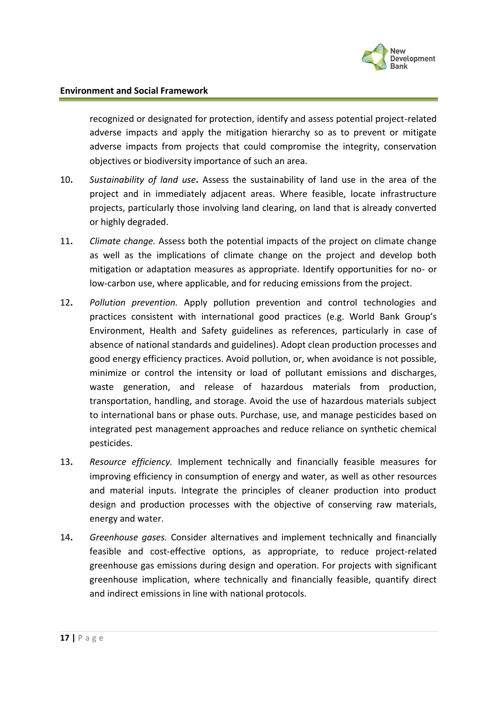

recognized or designated for protection, identify and assess potential project-related adverse impacts and apply the mitigation hierarchy so as to prevent or mitigate adverse impacts from projects that could compromise the integrity, conservation objectives or biodiversity importance of such an area.

- 10**.** *Sustainability of land use***.** Assess the sustainability of land use in the area of the project and in immediately adjacent areas. Where feasible, locate infrastructure projects, particularly those involving land clearing, on land that is already converted or highly degraded.
- 11**.** *Climate change.* Assess both the potential impacts of the project on climate change as well as the implications of climate change on the project and develop both mitigation or adaptation measures as appropriate. Identify opportunities for no- or low-carbon use, where applicable, and for reducing emissions from the project.
- 12**.** *Pollution prevention.* Apply pollution prevention and control technologies and practices consistent with international good practices (e.g. World Bank Group's Environment, Health and Safety guidelines as references, particularly in case of absence of national standards and guidelines). Adopt clean production processes and good energy efficiency practices. Avoid pollution, or, when avoidance is not possible, minimize or control the intensity or load of pollutant emissions and discharges, waste generation, and release of hazardous materials from production, transportation, handling, and storage. Avoid the use of hazardous materials subject to international bans or phase outs. Purchase, use, and manage pesticides based on integrated pest management approaches and reduce reliance on synthetic chemical pesticides.
- 13**.** *Resource efficiency.* Implement technically and financially feasible measures for improving efficiency in consumption of energy and water, as well as other resources and material inputs. Integrate the principles of cleaner production into product design and production processes with the objective of conserving raw materials, energy and water.
- 14**.** *Greenhouse gases.* Consider alternatives and implement technically and financially feasible and cost-effective options, as appropriate, to reduce project-related greenhouse gas emissions during design and operation. For projects with significant greenhouse implication, where technically and financially feasible, quantify direct and indirect emissions in line with national protocols.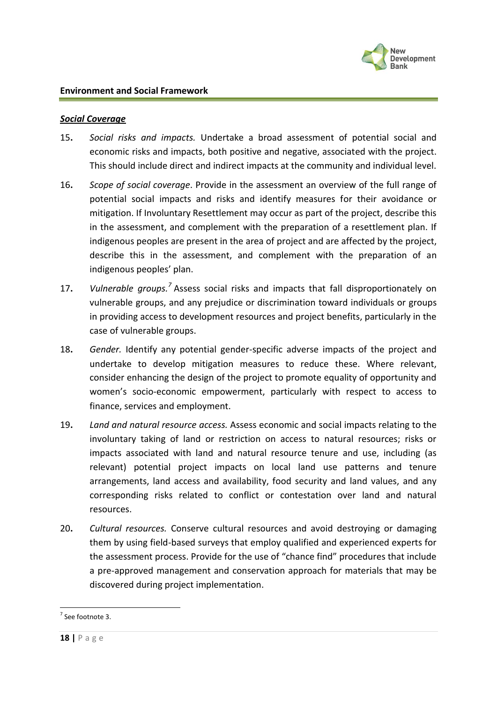

# *Social Coverage*

- 15**.** *Social risks and impacts.* Undertake a broad assessment of potential social and economic risks and impacts, both positive and negative, associated with the project. This should include direct and indirect impacts at the community and individual level.
- 16**.** *Scope of social coverage*. Provide in the assessment an overview of the full range of potential social impacts and risks and identify measures for their avoidance or mitigation. If Involuntary Resettlement may occur as part of the project, describe this in the assessment, and complement with the preparation of a resettlement plan. If indigenous peoples are present in the area of project and are affected by the project, describe this in the assessment, and complement with the preparation of an indigenous peoples' plan.
- 17. *Vulnerable groups.*<sup>7</sup> Assess social risks and impacts that fall disproportionately on vulnerable groups, and any prejudice or discrimination toward individuals or groups in providing access to development resources and project benefits, particularly in the case of vulnerable groups.
- 18**.** *Gender.* Identify any potential gender-specific adverse impacts of the project and undertake to develop mitigation measures to reduce these. Where relevant, consider enhancing the design of the project to promote equality of opportunity and women's socio-economic empowerment, particularly with respect to access to finance, services and employment.
- 19**.** *Land and natural resource access.* Assess economic and social impacts relating to the involuntary taking of land or restriction on access to natural resources; risks or impacts associated with land and natural resource tenure and use, including (as relevant) potential project impacts on local land use patterns and tenure arrangements, land access and availability, food security and land values, and any corresponding risks related to conflict or contestation over land and natural resources.
- 20**.** *Cultural resources.* Conserve cultural resources and avoid destroying or damaging them by using field-based surveys that employ qualified and experienced experts for the assessment process. Provide for the use of "chance find" procedures that include a pre-approved management and conservation approach for materials that may be discovered during project implementation.

<sup>&</sup>lt;sup>7</sup> See footnot[e 3.](#page-11-3)

**<sup>18</sup> |** P a g e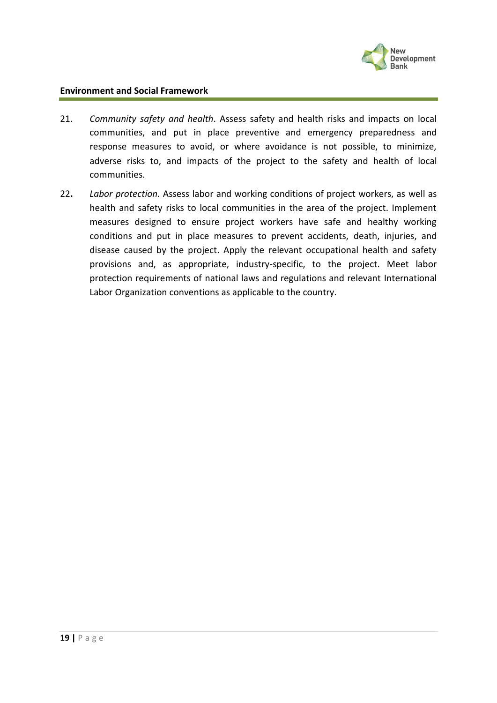

- 21. *Community safety and health*. Assess safety and health risks and impacts on local communities, and put in place preventive and emergency preparedness and response measures to avoid, or where avoidance is not possible, to minimize, adverse risks to, and impacts of the project to the safety and health of local communities.
- 22**.** *Labor protection.* Assess labor and working conditions of project workers, as well as health and safety risks to local communities in the area of the project. Implement measures designed to ensure project workers have safe and healthy working conditions and put in place measures to prevent accidents, death, injuries, and disease caused by the project. Apply the relevant occupational health and safety provisions and, as appropriate, industry-specific, to the project. Meet labor protection requirements of national laws and regulations and relevant International Labor Organization conventions as applicable to the country.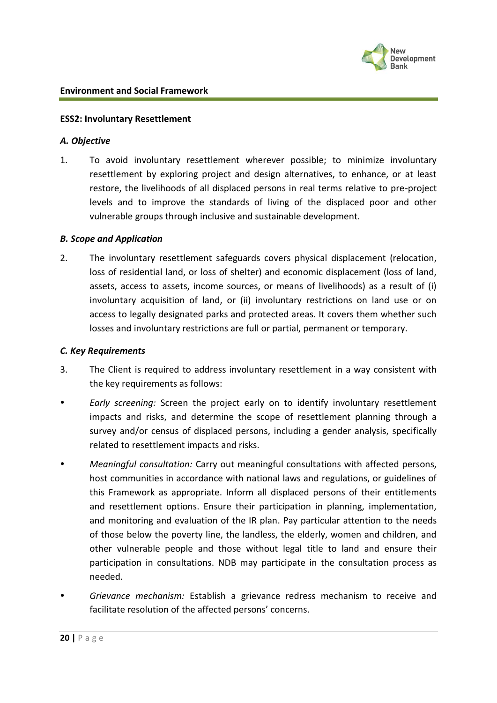

# <span id="page-21-0"></span>**ESS2: Involuntary Resettlement**

#### <span id="page-21-1"></span>*A. Objective*

1. To avoid involuntary resettlement wherever possible; to minimize involuntary resettlement by exploring project and design alternatives, to enhance, or at least restore, the livelihoods of all displaced persons in real terms relative to pre-project levels and to improve the standards of living of the displaced poor and other vulnerable groups through inclusive and sustainable development.

# <span id="page-21-2"></span>*B. Scope and Application*

2. The involuntary resettlement safeguards covers physical displacement (relocation, loss of residential land, or loss of shelter) and economic displacement (loss of land, assets, access to assets, income sources, or means of livelihoods) as a result of (i) involuntary acquisition of land, or (ii) involuntary restrictions on land use or on access to legally designated parks and protected areas. It covers them whether such losses and involuntary restrictions are full or partial, permanent or temporary.

# <span id="page-21-3"></span>*C. Key Requirements*

- 3. The Client is required to address involuntary resettlement in a way consistent with the key requirements as follows:
- *Early screening:* Screen the project early on to identify involuntary resettlement impacts and risks, and determine the scope of resettlement planning through a survey and/or census of displaced persons, including a gender analysis, specifically related to resettlement impacts and risks.
- *Meaningful consultation:* Carry out meaningful consultations with affected persons, host communities in accordance with national laws and regulations, or guidelines of this Framework as appropriate. Inform all displaced persons of their entitlements and resettlement options. Ensure their participation in planning, implementation, and monitoring and evaluation of the IR plan. Pay particular attention to the needs of those below the poverty line, the landless, the elderly, women and children, and other vulnerable people and those without legal title to land and ensure their participation in consultations. NDB may participate in the consultation process as needed.
- *Grievance mechanism:* Establish a grievance redress mechanism to receive and facilitate resolution of the affected persons' concerns.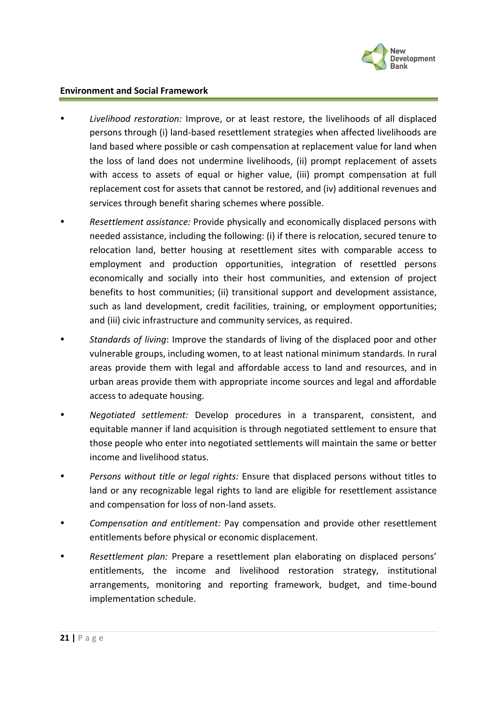

- *Livelihood restoration:* Improve, or at least restore, the livelihoods of all displaced persons through (i) land-based resettlement strategies when affected livelihoods are land based where possible or cash compensation at replacement value for land when the loss of land does not undermine livelihoods, (ii) prompt replacement of assets with access to assets of equal or higher value, (iii) prompt compensation at full replacement cost for assets that cannot be restored, and (iv) additional revenues and services through benefit sharing schemes where possible.
- *Resettlement assistance:* Provide physically and economically displaced persons with needed assistance, including the following: (i) if there is relocation, secured tenure to relocation land, better housing at resettlement sites with comparable access to employment and production opportunities, integration of resettled persons economically and socially into their host communities, and extension of project benefits to host communities; (ii) transitional support and development assistance, such as land development, credit facilities, training, or employment opportunities; and (iii) civic infrastructure and community services, as required.
- *Standards of living*: Improve the standards of living of the displaced poor and other vulnerable groups, including women, to at least national minimum standards. In rural areas provide them with legal and affordable access to land and resources, and in urban areas provide them with appropriate income sources and legal and affordable access to adequate housing.
- *Negotiated settlement:* Develop procedures in a transparent, consistent, and equitable manner if land acquisition is through negotiated settlement to ensure that those people who enter into negotiated settlements will maintain the same or better income and livelihood status.
- *Persons without title or legal rights:* Ensure that displaced persons without titles to land or any recognizable legal rights to land are eligible for resettlement assistance and compensation for loss of non-land assets.
- *Compensation and entitlement:* Pay compensation and provide other resettlement entitlements before physical or economic displacement.
- *Resettlement plan:* Prepare a resettlement plan elaborating on displaced persons' entitlements, the income and livelihood restoration strategy, institutional arrangements, monitoring and reporting framework, budget, and time-bound implementation schedule.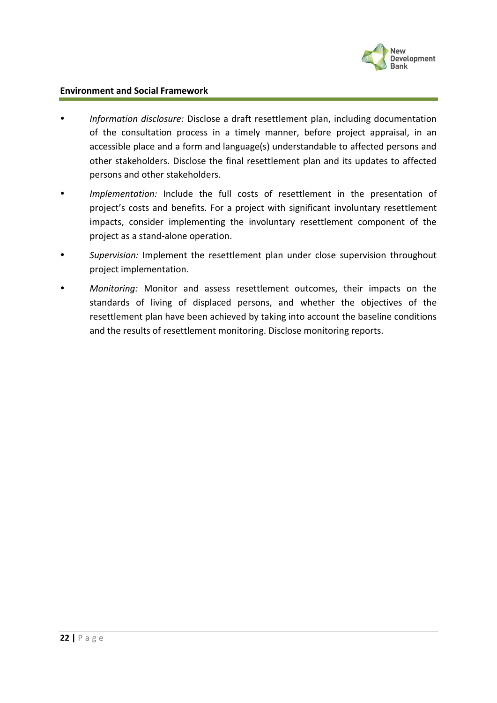

- *Information disclosure:* Disclose a draft resettlement plan, including documentation of the consultation process in a timely manner, before project appraisal, in an accessible place and a form and language(s) understandable to affected persons and other stakeholders. Disclose the final resettlement plan and its updates to affected persons and other stakeholders.
- *Implementation:* Include the full costs of resettlement in the presentation of project's costs and benefits. For a project with significant involuntary resettlement impacts, consider implementing the involuntary resettlement component of the project as a stand-alone operation.
- *Supervision:* Implement the resettlement plan under close supervision throughout project implementation.
- *Monitoring:* Monitor and assess resettlement outcomes, their impacts on the standards of living of displaced persons, and whether the objectives of the resettlement plan have been achieved by taking into account the baseline conditions and the results of resettlement monitoring. Disclose monitoring reports.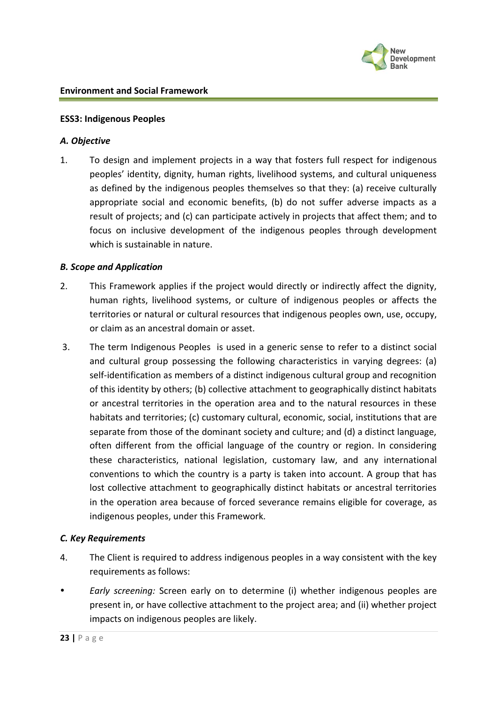

# <span id="page-24-0"></span>**ESS3: Indigenous Peoples**

# <span id="page-24-1"></span>*A. Objective*

1. To design and implement projects in a way that fosters full respect for indigenous peoples' identity, dignity, human rights, livelihood systems, and cultural uniqueness as defined by the indigenous peoples themselves so that they: (a) receive culturally appropriate social and economic benefits, (b) do not suffer adverse impacts as a result of projects; and (c) can participate actively in projects that affect them; and to focus on inclusive development of the indigenous peoples through development which is sustainable in nature.

# <span id="page-24-2"></span>*B. Scope and Application*

- 2. This Framework applies if the project would directly or indirectly affect the dignity, human rights, livelihood systems, or culture of indigenous peoples or affects the territories or natural or cultural resources that indigenous peoples own, use, occupy, or claim as an ancestral domain or asset.
- 3. The term Indigenous Peoples is used in a generic sense to refer to a distinct social and cultural group possessing the following characteristics in varying degrees: (a) self-identification as members of a distinct indigenous cultural group and recognition of this identity by others; (b) collective attachment to geographically distinct habitats or ancestral territories in the operation area and to the natural resources in these habitats and territories; (c) customary cultural, economic, social, institutions that are separate from those of the dominant society and culture; and (d) a distinct language, often different from the official language of the country or region. In considering these characteristics, national legislation, customary law, and any international conventions to which the country is a party is taken into account. A group that has lost collective attachment to geographically distinct habitats or ancestral territories in the operation area because of forced severance remains eligible for coverage, as indigenous peoples, under this Framework.

# <span id="page-24-3"></span>*C. Key Requirements*

- 4. The Client is required to address indigenous peoples in a way consistent with the key requirements as follows:
- *Early screening:* Screen early on to determine (i) whether indigenous peoples are present in, or have collective attachment to the project area; and (ii) whether project impacts on indigenous peoples are likely.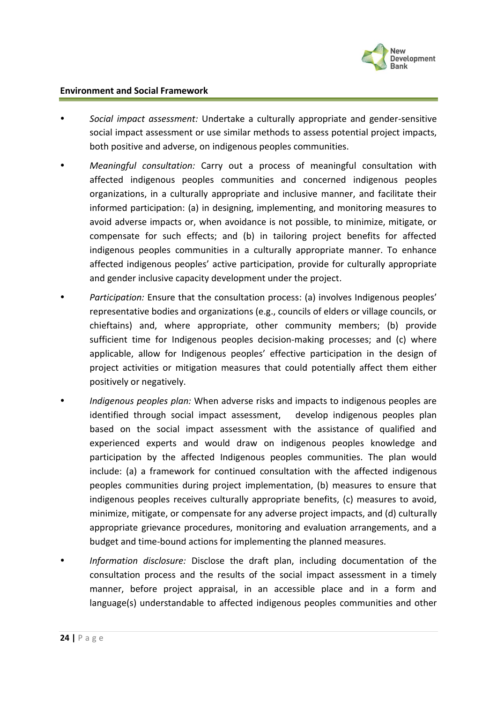

- *Social impact assessment:* Undertake a culturally appropriate and gender-sensitive social impact assessment or use similar methods to assess potential project impacts, both positive and adverse, on indigenous peoples communities.
- *Meaningful consultation:* Carry out a process of meaningful consultation with affected indigenous peoples communities and concerned indigenous peoples organizations, in a culturally appropriate and inclusive manner, and facilitate their informed participation: (a) in designing, implementing, and monitoring measures to avoid adverse impacts or, when avoidance is not possible, to minimize, mitigate, or compensate for such effects; and (b) in tailoring project benefits for affected indigenous peoples communities in a culturally appropriate manner. To enhance affected indigenous peoples' active participation, provide for culturally appropriate and gender inclusive capacity development under the project.
- *Participation:* Ensure that the consultation process: (a) involves Indigenous peoples' representative bodies and organizations (e.g., councils of elders or village councils, or chieftains) and, where appropriate, other community members; (b) provide sufficient time for Indigenous peoples decision-making processes; and (c) where applicable, allow for Indigenous peoples' effective participation in the design of project activities or mitigation measures that could potentially affect them either positively or negatively.
- *Indigenous peoples plan:* When adverse risks and impacts to indigenous peoples are identified through social impact assessment, develop indigenous peoples plan based on the social impact assessment with the assistance of qualified and experienced experts and would draw on indigenous peoples knowledge and participation by the affected Indigenous peoples communities. The plan would include: (a) a framework for continued consultation with the affected indigenous peoples communities during project implementation, (b) measures to ensure that indigenous peoples receives culturally appropriate benefits, (c) measures to avoid, minimize, mitigate, or compensate for any adverse project impacts, and (d) culturally appropriate grievance procedures, monitoring and evaluation arrangements, and a budget and time-bound actions for implementing the planned measures.
- *Information disclosure:* Disclose the draft plan, including documentation of the consultation process and the results of the social impact assessment in a timely manner, before project appraisal, in an accessible place and in a form and language(s) understandable to affected indigenous peoples communities and other